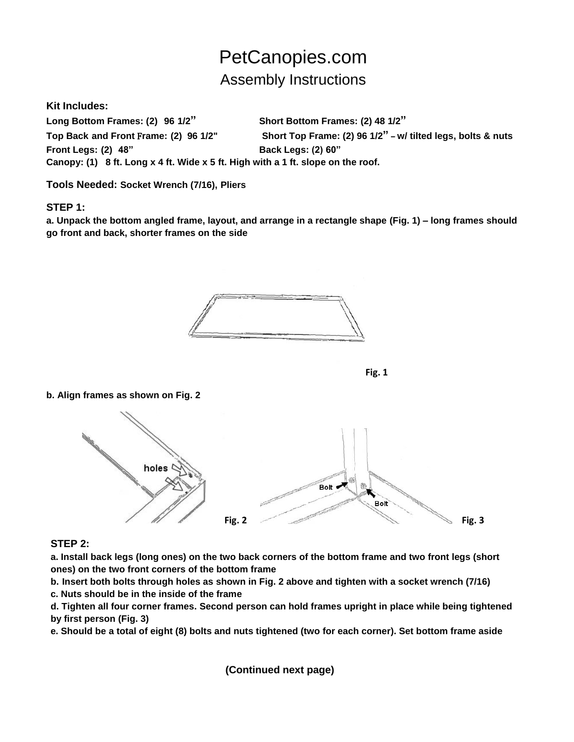# PetCanopies.com Assembly Instructions

**Kit Includes:**

**Long Bottom Frames: (2) 96 1/2" Short Bottom Frames: (2) 48 1/2" Top Back and Front** F**rame: (2) 96 1/2" Short Top Frame: (2) 96 1/2"** – **w/ tilted legs, bolts & nuts Front Legs: (2) 48" Back Legs: (2) 60" Canopy: (1) 8 ft. Long x 4 ft. Wide x 5 ft. High with a 1 ft. slope on the roof.**

**Tools Needed: Socket Wrench (7/16), Pliers**

## **STEP 1:**

**a. Unpack the bottom angled frame, layout, and arrange in a rectangle shape (Fig. 1) – long frames should go front and back, shorter frames on the side**





#### **b. Align frames as shown on Fig. 2**



## **STEP 2:**

**a. Install back legs (long ones) on the two back corners of the bottom frame and two front legs (short ones) on the two front corners of the bottom frame**

**b. Insert both bolts through holes as shown in Fig. 2 above and tighten with a socket wrench (7/16)** 

**c. Nuts should be in the inside of the frame**

**d. Tighten all four corner frames. Second person can hold frames upright in place while being tightened by first person (Fig. 3)**

**e. Should be a total of eight (8) bolts and nuts tightened (two for each corner). Set bottom frame aside**

 **(Continued next page)**